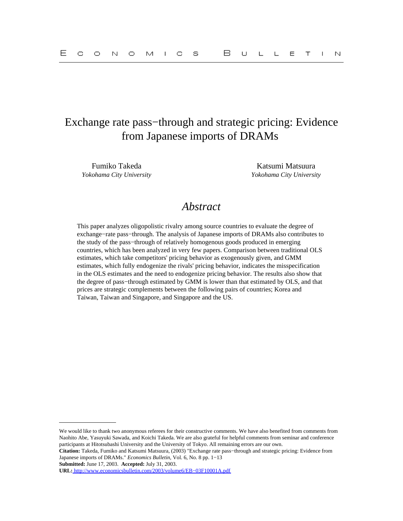# Exchange rate pass−through and strategic pricing: Evidence from Japanese imports of DRAMs

Fumiko Takeda Katsumi Matsuura *Yokohama City University Yokohama City University*

# *Abstract*

This paper analyzes oligopolistic rivalry among source countries to evaluate the degree of exchange−rate pass−through. The analysis of Japanese imports of DRAMs also contributes to the study of the pass−through of relatively homogenous goods produced in emerging countries, which has been analyzed in very few papers. Comparison between traditional OLS estimates, which take competitors' pricing behavior as exogenously given, and GMM estimates, which fully endogenize the rivals' pricing behavior, indicates the misspecification in the OLS estimates and the need to endogenize pricing behavior. The results also show that the degree of pass−through estimated by GMM is lower than that estimated by OLS, and that prices are strategic complements between the following pairs of countries; Korea and Taiwan, Taiwan and Singapore, and Singapore and the US.

**Citation:** Takeda, Fumiko and Katsumi Matsuura, (2003) "Exchange rate pass−through and strategic pricing: Evidence from Japanese imports of DRAMs." *Economics Bulletin,* Vol. 6, No. 8 pp. 1−13

**Submitted:** June 17, 2003. **Accepted:** July 31, 2003.

We would like to thank two anonymous referees for their constructive comments. We have also benefited from comments from Naohito Abe, Yasuyuki Sawada, and Koichi Takeda. We are also grateful for helpful comments from seminar and conference participants at Hitotsubashi University and the University of Tokyo. All remaining errors are our own.

**URL:** [http://www.economicsbulletin.com/2003/volume6/EB−03F10001A.pdf](http://www.economicsbulletin.com/2003/volume6/EB-03F10001A.pdf)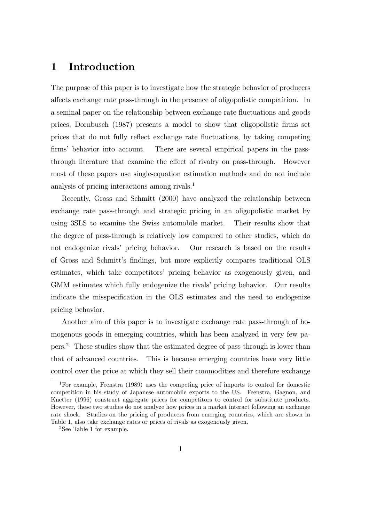## 1 Introduction

The purpose of this paper is to investigate how the strategic behavior of producers affects exchange rate pass-through in the presence of oligopolistic competition. In a seminal paper on the relationship between exchange rate fluctuations and goods prices, Dornbusch (1987) presents a model to show that oligopolistic firms set prices that do not fully reflect exchange rate fluctuations, by taking competing firms' behavior into account. There are several empirical papers in the passthrough literature that examine the effect of rivalry on pass-through. However most of these papers use single-equation estimation methods and do not include analysis of pricing interactions among rivals.<sup>1</sup>

Recently, Gross and Schmitt (2000) have analyzed the relationship between exchange rate pass-through and strategic pricing in an oligopolistic market by using 3SLS to examine the Swiss automobile market. Their results show that the degree of pass-through is relatively low compared to other studies, which do not endogenize rivals' pricing behavior. Our research is based on the results of Gross and Schmitt's findings, but more explicitly compares traditional OLS estimates, which take competitors' pricing behavior as exogenously given, and GMM estimates which fully endogenize the rivals' pricing behavior. Our results indicate the misspecification in the OLS estimates and the need to endogenize pricing behavior.

Another aim of this paper is to investigate exchange rate pass-through of homogenous goods in emerging countries, which has been analyzed in very few papers.<sup>2</sup> These studies show that the estimated degree of pass-through is lower than that of advanced countries. This is because emerging countries have very little control over the price at which they sell their commodities and therefore exchange

<sup>1</sup>For example, Feenstra (1989) uses the competing price of imports to control for domestic competition in his study of Japanese automobile exports to the US. Feenstra, Gagnon, and Knetter (1996) construct aggregate prices for competitors to control for substitute products. However, these two studies do not analyze how prices in a market interact following an exchange rate shock. Studies on the pricing of producers from emerging countries, which are shown in Table 1, also take exchange rates or prices of rivals as exogenously given.

<sup>2</sup>See Table 1 for example.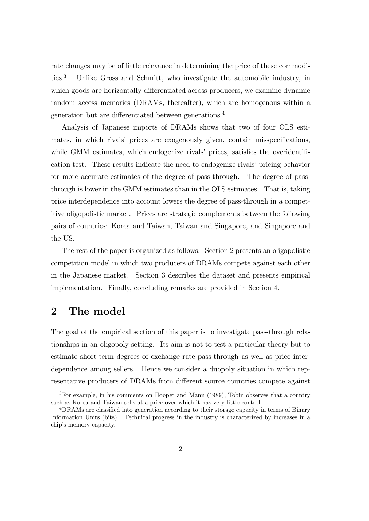rate changes may be of little relevance in determining the price of these commodities.<sup>3</sup> Unlike Gross and Schmitt, who investigate the automobile industry, in which goods are horizontally-differentiated across producers, we examine dynamic random access memories (DRAMs, thereafter), which are homogenous within a generation but are differentiated between generations.<sup>4</sup>

Analysis of Japanese imports of DRAMs shows that two of four OLS estimates, in which rivals' prices are exogenously given, contain misspecifications, while GMM estimates, which endogenize rivals' prices, satisfies the overidentification test. These results indicate the need to endogenize rivals' pricing behavior for more accurate estimates of the degree of pass-through. The degree of passthrough is lower in the GMM estimates than in the OLS estimates. That is, taking price interdependence into account lowers the degree of pass-through in a competitive oligopolistic market. Prices are strategic complements between the following pairs of countries: Korea and Taiwan, Taiwan and Singapore, and Singapore and the US.

The rest of the paper is organized as follows. Section 2 presents an oligopolistic competition model in which two producers of DRAMs compete against each other in the Japanese market. Section 3 describes the dataset and presents empirical implementation. Finally, concluding remarks are provided in Section 4.

### 2 The model

The goal of the empirical section of this paper is to investigate pass-through relationships in an oligopoly setting. Its aim is not to test a particular theory but to estimate short-term degrees of exchange rate pass-through as well as price interdependence among sellers. Hence we consider a duopoly situation in which representative producers of DRAMs from different source countries compete against

<sup>3</sup>For example, in his comments on Hooper and Mann (1989), Tobin observes that a country such as Korea and Taiwan sells at a price over which it has very little control.

<sup>4</sup>DRAMs are classified into generation according to their storage capacity in terms of Binary Information Units (bits). Technical progress in the industry is characterized by increases in a chip's memory capacity.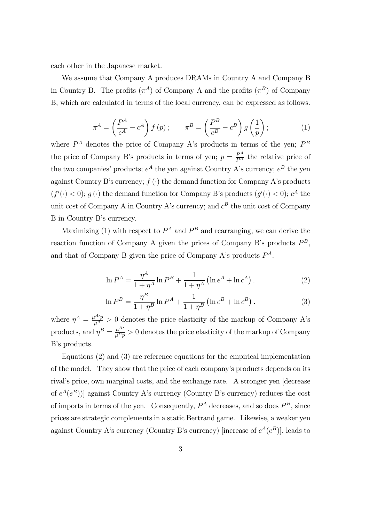each other in the Japanese market.

We assume that Company A produces DRAMs in Country A and Company B in Country B. The profits  $(\pi^A)$  of Company A and the profits  $(\pi^B)$  of Company B, which are calculated in terms of the local currency, can be expressed as follows.

$$
\pi^{A} = \left(\frac{P^{A}}{e^{A}} - c^{A}\right) f(p); \qquad \pi^{B} = \left(\frac{P^{B}}{e^{B}} - c^{B}\right) g\left(\frac{1}{p}\right); \tag{1}
$$

where  $P^A$  denotes the price of Company A's products in terms of the yen;  $P^B$ the price of Company B's products in terms of yen;  $p = \frac{P^A}{P^B}$  the relative price of the two companies' products;  $e^A$  the yen against Country A's currency;  $e^B$  the yen against Country B's currency;  $f(\cdot)$  the demand function for Company A's products  $(f'(\cdot) < 0)$ ;  $g(\cdot)$  the demand function for Company B's products  $(g'(\cdot) < 0)$ ;  $c^A$  the unit cost of Company A in Country A's currency; and  $c^B$  the unit cost of Company B in Country B's currency.

Maximizing (1) with respect to  $P^A$  and  $P^B$  and rearranging, we can derive the reaction function of Company A given the prices of Company B's products  $P^B$ . and that of Company B given the price of Company A's products  $P^A$ .

$$
\ln P^{A} = \frac{\eta^{A}}{1 + \eta^{A}} \ln P^{B} + \frac{1}{1 + \eta^{A}} \left( \ln e^{A} + \ln c^{A} \right). \tag{2}
$$

$$
\ln P^{B} = \frac{\eta^{B}}{1 + \eta^{B}} \ln P^{A} + \frac{1}{1 + \eta^{B}} \left( \ln e^{B} + \ln c^{B} \right). \tag{3}
$$

where  $\eta^A = \frac{\mu^{A} p}{\mu^A} > 0$  denotes the price elasticity of the markup of Company A's products, and  $\eta^B = \frac{\mu^{B}}{\mu^B p} > 0$  denotes the price elasticity of the markup of Company B's products.

Equations (2) and (3) are reference equations for the empirical implementation of the model. They show that the price of each company's products depends on its rival's price, own marginal costs, and the exchange rate. A stronger yen [decrease of  $e^{A}(e^{B})$ ] against Country A's currency (Country B's currency) reduces the cost of imports in terms of the yen. Consequently,  $P^A$  decreases, and so does  $P^B$ , since prices are strategic complements in a static Bertrand game. Likewise, a weaker yen against Country A's currency (Country B's currency) [increase of  $e^{A}(e^{B})$ ], leads to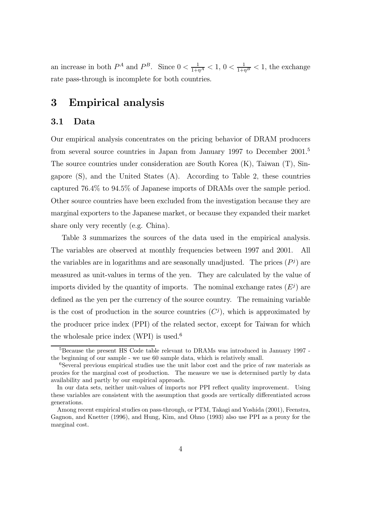an increase in both  $P^A$  and  $P^B$ . Since  $0 < \frac{1}{1+\eta^A} < 1$ ,  $0 < \frac{1}{1+\eta^B} < 1$ , the exchange rate pass-through is incomplete for both countries.

## 3 Empirical analysis

### 3.1 Data

Our empirical analysis concentrates on the pricing behavior of DRAM producers from several source countries in Japan from January 1997 to December 2001.<sup>5</sup> The source countries under consideration are South Korea (K), Taiwan (T), Singapore (S), and the United States (A). According to Table 2, these countries captured 76.4% to 94.5% of Japanese imports of DRAMs over the sample period. Other source countries have been excluded from the investigation because they are marginal exporters to the Japanese market, or because they expanded their market share only very recently (e.g. China).

Table 3 summarizes the sources of the data used in the empirical analysis. The variables are observed at monthly frequencies between 1997 and 2001. All the variables are in logarithms and are seasonally unadjusted. The prices  $(P<sup>j</sup>)$  are measured as unit-values in terms of the yen. They are calculated by the value of imports divided by the quantity of imports. The nominal exchange rates  $(E<sup>j</sup>)$  are defined as the yen per the currency of the source country. The remaining variable is the cost of production in the source countries  $(C<sup>j</sup>)$ , which is approximated by the producer price index (PPI) of the related sector, except for Taiwan for which the wholesale price index (WPI) is used.<sup>6</sup>

<sup>5</sup>Because the present HS Code table relevant to DRAMs was introduced in January 1997 the beginning of our sample - we use 60 sample data, which is relatively small.

<sup>6</sup>Several previous empirical studies use the unit labor cost and the price of raw materials as proxies for the marginal cost of production. The measure we use is determined partly by data availability and partly by our empirical approach.

In our data sets, neither unit-values of imports nor PPI reflect quality improvement. Using these variables are consistent with the assumption that goods are vertically differentiated across generations.

Among recent empirical studies on pass-through, or PTM, Takagi and Yoshida (2001), Feenstra, Gagnon, and Knetter (1996), and Hung, Kim, and Ohno (1993) also use PPI as a proxy for the marginal cost.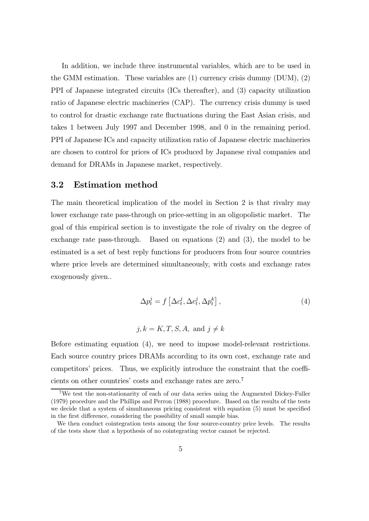In addition, we include three instrumental variables, which are to be used in the GMM estimation. These variables are  $(1)$  currency crisis dummy  $(DUM)$ ,  $(2)$ PPI of Japanese integrated circuits (ICs thereafter), and (3) capacity utilization ratio of Japanese electric machineries (CAP). The currency crisis dummy is used to control for drastic exchange rate fluctuations during the East Asian crisis, and takes 1 between July 1997 and December 1998, and 0 in the remaining period. PPI of Japanese ICs and capacity utilization ratio of Japanese electric machineries are chosen to control for prices of ICs produced by Japanese rival companies and demand for DRAMs in Japanese market, respectively.

#### 3.2 Estimation method

The main theoretical implication of the model in Section 2 is that rivalry may lower exchange rate pass-through on price-setting in an oligopolistic market. The goal of this empirical section is to investigate the role of rivalry on the degree of exchange rate pass-through. Based on equations (2) and (3), the model to be estimated is a set of best reply functions for producers from four source countries where price levels are determined simultaneously, with costs and exchange rates exogenously given..

$$
\Delta p_t^j = f\left[\Delta c_t^j, \Delta e_t^j, \Delta p_t^k\right],\tag{4}
$$

$$
j, k = K, T, S, A, \text{ and } j \neq k
$$

Before estimating equation (4), we need to impose model-relevant restrictions. Each source country prices DRAMs according to its own cost, exchange rate and competitors' prices. Thus, we explicitly introduce the constraint that the coefficients on other countries' costs and exchange rates are zero.<sup>7</sup>

<sup>7</sup>We test the non-stationarity of each of our data series using the Augmented Dickey-Fuller (1979) procedure and the Phillips and Perron (1988) procedure. Based on the results of the tests we decide that a system of simultaneous pricing consistent with equation (5) must be specified in the first difference, considering the possibility of small sample bias.

We then conduct cointegration tests among the four source-country price levels. The results of the tests show that a hypothesis of no cointegrating vector cannot be rejected.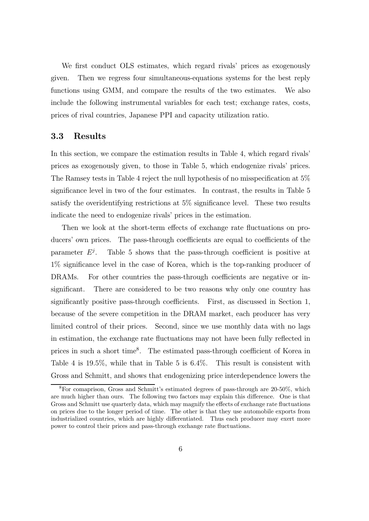We first conduct OLS estimates, which regard rivals' prices as exogenously given. Then we regress four simultaneous-equations systems for the best reply functions using GMM, and compare the results of the two estimates. We also include the following instrumental variables for each test; exchange rates, costs, prices of rival countries, Japanese PPI and capacity utilization ratio.

### 3.3 Results

In this section, we compare the estimation results in Table 4, which regard rivals' prices as exogenously given, to those in Table 5, which endogenize rivals' prices. The Ramsey tests in Table 4 reject the null hypothesis of no misspecification at 5% significance level in two of the four estimates. In contrast, the results in Table 5 satisfy the overidentifying restrictions at 5% significance level. These two results indicate the need to endogenize rivals' prices in the estimation.

Then we look at the short-term effects of exchange rate fluctuations on producers' own prices. The pass-through coefficients are equal to coefficients of the parameter  $E^j$ . Table 5 shows that the pass-through coefficient is positive at 1% significance level in the case of Korea, which is the top-ranking producer of DRAMs. For other countries the pass-through coefficients are negative or insignificant. There are considered to be two reasons why only one country has significantly positive pass-through coefficients. First, as discussed in Section 1, because of the severe competition in the DRAM market, each producer has very limited control of their prices. Second, since we use monthly data with no lags in estimation, the exchange rate fluctuations may not have been fully reflected in prices in such a short time<sup>8</sup>. The estimated pass-through coefficient of Korea in Table 4 is 19.5%, while that in Table 5 is 6.4%. This result is consistent with Gross and Schmitt, and shows that endogenizing price interdependence lowers the

<sup>8</sup>For comaprison, Gross and Schmitt's estimated degrees of pass-through are 20-50%, which are much higher than ours. The following two factors may explain this difference. One is that Gross and Schmitt use quarterly data, which may magnify the effects of exchange rate fluctuations on prices due to the longer period of time. The other is that they use automobile exports from industrialized countries, which are highly differentiated. Thus each producer may exert more power to control their prices and pass-through exchange rate fluctuations.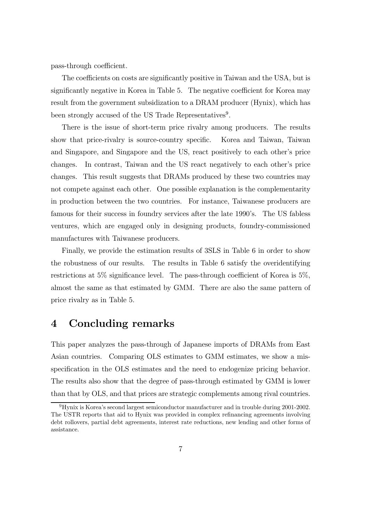pass-through coefficient.

The coefficients on costs are significantly positive in Taiwan and the USA, but is significantly negative in Korea in Table 5. The negative coefficient for Korea may result from the government subsidization to a DRAM producer (Hynix), which has been strongly accused of the US Trade Representatives<sup>9</sup>.

There is the issue of short-term price rivalry among producers. The results show that price-rivalry is source-country specific. Korea and Taiwan, Taiwan and Singapore, and Singapore and the US, react positively to each other's price changes. In contrast, Taiwan and the US react negatively to each other's price changes. This result suggests that DRAMs produced by these two countries may not compete against each other. One possible explanation is the complementarity in production between the two countries. For instance, Taiwanese producers are famous for their success in foundry services after the late 1990's. The US fabless ventures, which are engaged only in designing products, foundry-commissioned manufactures with Taiwanese producers.

Finally, we provide the estimation results of 3SLS in Table 6 in order to show the robustness of our results. The results in Table 6 satisfy the overidentifying restrictions at 5% significance level. The pass-through coefficient of Korea is 5%, almost the same as that estimated by GMM. There are also the same pattern of price rivalry as in Table 5.

## 4 Concluding remarks

This paper analyzes the pass-through of Japanese imports of DRAMs from East Asian countries. Comparing OLS estimates to GMM estimates, we show a misspecification in the OLS estimates and the need to endogenize pricing behavior. The results also show that the degree of pass-through estimated by GMM is lower than that by OLS, and that prices are strategic complements among rival countries.

<sup>9</sup>Hynix is Korea's second largest semiconductor manufacturer and in trouble during 2001-2002. The USTR reports that aid to Hynix was provided in complex refinancing agreements involving debt rollovers, partial debt agreements, interest rate reductions, new lending and other forms of assistance.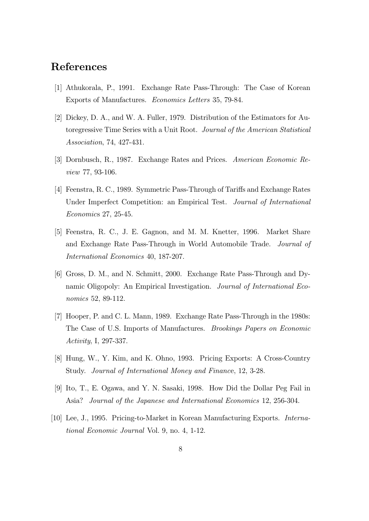## References

- [1] Athukorala, P., 1991. Exchange Rate Pass-Through: The Case of Korean Exports of Manufactures. Economics Letters 35, 79-84.
- [2] Dickey, D. A., and W. A. Fuller, 1979. Distribution of the Estimators for Autoregressive Time Series with a Unit Root. Journal of the American Statistical Association, 74, 427-431.
- [3] Dornbusch, R., 1987. Exchange Rates and Prices. American Economic Review 77, 93-106.
- [4] Feenstra, R. C., 1989. Symmetric Pass-Through of Tariffs and Exchange Rates Under Imperfect Competition: an Empirical Test. Journal of International Economics 27, 25-45.
- [5] Feenstra, R. C., J. E. Gagnon, and M. M. Knetter, 1996. Market Share and Exchange Rate Pass-Through in World Automobile Trade. Journal of International Economics 40, 187-207.
- [6] Gross, D. M., and N. Schmitt, 2000. Exchange Rate Pass-Through and Dynamic Oligopoly: An Empirical Investigation. Journal of International Economics 52, 89-112.
- [7] Hooper, P. and C. L. Mann, 1989. Exchange Rate Pass-Through in the 1980s: The Case of U.S. Imports of Manufactures. Brookings Papers on Economic Activity, I, 297-337.
- [8] Hung, W., Y. Kim, and K. Ohno, 1993. Pricing Exports: A Cross-Country Study. Journal of International Money and Finance, 12, 3-28.
- [9] Ito, T., E. Ogawa, and Y. N. Sasaki, 1998. How Did the Dollar Peg Fail in Asia? Journal of the Japanese and International Economics 12, 256-304.
- [10] Lee, J., 1995. Pricing-to-Market in Korean Manufacturing Exports. International Economic Journal Vol. 9, no. 4, 1-12.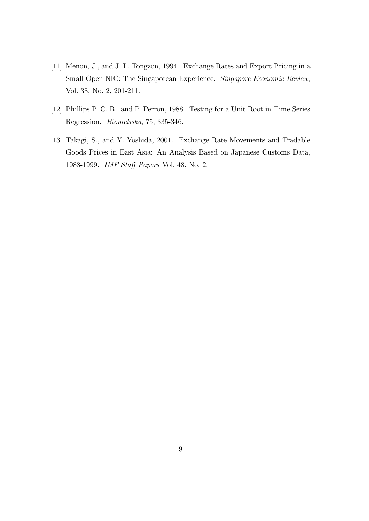- [11] Menon, J., and J. L. Tongzon, 1994. Exchange Rates and Export Pricing in a Small Open NIC: The Singaporean Experience. Singapore Economic Review, Vol. 38, No. 2, 201-211.
- [12] Phillips P. C. B., and P. Perron, 1988. Testing for a Unit Root in Time Series Regression. Biometrika, 75, 335-346.
- [13] Takagi, S., and Y. Yoshida, 2001. Exchange Rate Movements and Tradable Goods Prices in East Asia: An Analysis Based on Japanese Customs Data, 1988-1999. IMF Staff Papers Vol. 48, No. 2.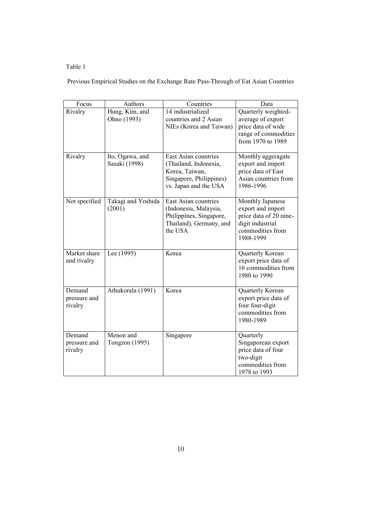### Table 1

Previous Empirical Studies on the Exchange Rate Pass-Through of Eat Asian Countries

| Focus                             | Authors                          | Countries                                                                                                           | Data                                                                                                                 |
|-----------------------------------|----------------------------------|---------------------------------------------------------------------------------------------------------------------|----------------------------------------------------------------------------------------------------------------------|
| Rivalry                           | Hung, Kim, and<br>Ohno (1993)    | 14 industrialized<br>countries and 2 Asian<br>NIEs (Korea and Taiwan)                                               | Quarterly weighted-<br>average of export<br>price data of wide<br>range of commodities<br>from 1970 to 1989          |
| Rivalry                           | Ito, Ogawa, and<br>Sasaki (1998) | East Asian countries<br>(Thailand, Indonesia,<br>Korea, Taiwan,<br>Singapore, Philippines)<br>vs. Japan and the USA | Monthly aggeragate<br>export and import<br>price data of East<br>Asian countries from<br>1986-1996                   |
| Not specified                     | Takagi and Yoshida<br>(2001)     | East Asian countries<br>(Indonesia, Malaysia,<br>Philippines, Singapore,<br>Thailand), Germany, and<br>the USA      | Monthly Japanese<br>export and import<br>price data of 20 nine-<br>digit industrial<br>commodities from<br>1988-1999 |
| Market share<br>and rivalry       | Lee (1995)                       | Korea                                                                                                               | Quarterly Korean<br>export price data of<br>16 commodities from<br>1980 to 1990                                      |
| Demand<br>pressure and<br>rivalry | Athukorala (1991)                | Korea                                                                                                               | Quarterly Korean<br>export price data of<br>four four-digit<br>commodities from<br>1980-1989                         |
| Demand<br>pressure and<br>rivalry | Menon and<br>Tongzon (1995)      | Singapore                                                                                                           | Quarterly<br>Singaporean export<br>price data of four<br>two-digit<br>commodities from<br>1978 to 1993               |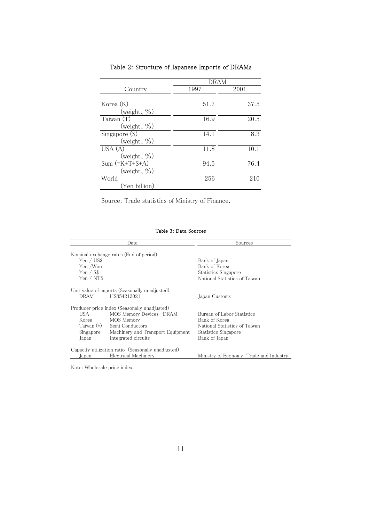|                                         | dram |      |  |
|-----------------------------------------|------|------|--|
| Country                                 | 1997 | 2001 |  |
| Korea (K)<br>(weight, $\%$ )            | 51.7 | 37.5 |  |
| Taiwan (T)<br>(weight, $\%$ )           | 16.9 | 20.5 |  |
| Singapore (S)<br>(weight, $\%$ )        | 14.1 | 8.3  |  |
| USA(A)<br>(weight, $\%$ )               | 11.8 | 10.1 |  |
| $Sum$ (= $K+T+S+A$ )<br>(weight, $\%$ ) | 94.5 | 76.4 |  |
| World<br>(Yen billion)                  | 256  | 210  |  |

Table 2: Structure of Japanese Imports of DRAMs

Source: Trade statistics of Ministry of Finance.

#### Table 3: Data Sources

|                                                        | Data                                                                                                                                                                  | Sources                                                                                                               |
|--------------------------------------------------------|-----------------------------------------------------------------------------------------------------------------------------------------------------------------------|-----------------------------------------------------------------------------------------------------------------------|
| Yen / US\$<br>Yen /Won<br>Yen $\sqrt{S\$<br>Yen / NT\$ | Nominal exchange rates (End of period)                                                                                                                                | Bank of Japan<br>Bank of Korea<br>Statistics Singapore<br>National Statistics of Taiwan                               |
| <b>DRAM</b>                                            | Unit value of imports (Seasonally unadjusted)<br>HS854213021                                                                                                          | Japan Customs                                                                                                         |
| USA<br>Korea<br>Taiwan $(*)$<br>Singapore<br>Japan     | Producer price index (Seasonally unadjusted)<br>MOS Memory Devices -DRAM<br>MOS Memory<br>Semi Conductors<br>Machinery and Transport Equipment<br>Integrated circuits | Bureau of Labor Statistics<br>Bank of Korea<br>National Statistics of Taiwan<br>Statistics Singapore<br>Bank of Japan |
| lapan                                                  | Capacity utilization ratio (Seasonally unadjusted)<br>Electrical Machinery                                                                                            | Ministry of Economy, Trade and Industry                                                                               |

Note: Wholesale price index.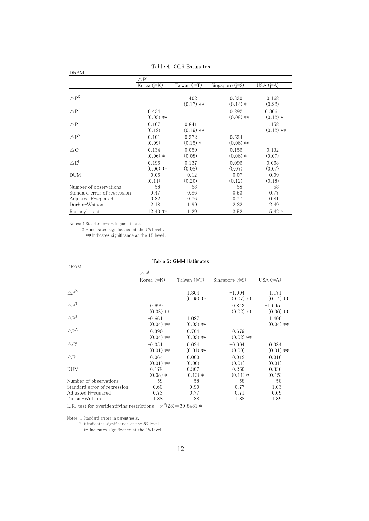| <b>DRAM</b>                  |                        |                        |                        |                        |
|------------------------------|------------------------|------------------------|------------------------|------------------------|
|                              | $\triangle P^J$        |                        |                        |                        |
|                              | Korea (j=K)            | Taiwan (j=T)           | Singapore (j=S)        | USA $(i=A)$            |
| $\Delta P^{K}$               |                        | 1.402<br>$(0.17)$ **   | $-0.330$<br>$(0.14) *$ | $-0.168$<br>(0.22)     |
| $\triangle P^{T}$            | 0.434<br>$(0.05)$ **   |                        | 0.292<br>$(0.08)$ **   | $-0.306$<br>$(0.12)$ * |
| $\triangle P^S$              | $-0.167$<br>(0.12)     | 0.841<br>$(0.19)$ **   |                        | 1.158<br>$(0.12)$ **   |
| $\triangle P^A$              | $-0.101$<br>(0.09)     | $-0.372$<br>$(0.15)$ * | 0.534<br>$(0.06)$ **   |                        |
| $\triangle C^j$              | $-0.134$<br>$(0.06)$ * | 0.059<br>(0.08)        | $-0.156$<br>$(0.06)$ * | 0.132<br>(0.07)        |
| $\triangle E^{j}$            | 0.195<br>$(0.06)$ **   | $-0.137$<br>(0.08)     | 0.096<br>(0.07)        | $-0.068$<br>(0.07)     |
| <b>DUM</b>                   | 0.05<br>(0.11)         | $-0.12$<br>(0.20)      | 0.07<br>(0.12)         | $-0.09$<br>(0.18)      |
| Number of observations       | 58                     | 58                     | 58                     | 58                     |
| Standard error of regression | 0.47                   | 0.86                   | 0.53                   | 0.77                   |
| Adjusted R-squared           | 0.82                   | 0.76                   | 0.77                   | 0.81                   |
| Durbin-Watson                | 2.18                   | 1.99                   | 2.22                   | 2.49                   |
| Ramsey's test                | 12.40 **               | 1.29                   | 3.52                   | $5.42*$                |

#### Table 4: OLS Estimates

Notes: 1 Standard errors in parenthesis.

2 \* indicates significance at the 5% level .

\*\* indicates significance at the 1% level .

| <b>DRAM</b>                                |                         |                         |                         |                         |
|--------------------------------------------|-------------------------|-------------------------|-------------------------|-------------------------|
|                                            | $\triangle P^j$         |                         |                         |                         |
|                                            | Korea $(j=K)$           | Taiwan (j=T)            | Singapore $(j=S)$       | USA $(j=A)$             |
| $\triangle P^{K}$                          |                         | 1.304<br>$(0.05)$ **    | $-1.004$<br>$(0.07)$ ** | 1.171<br>$(0.14)$ **    |
| $\triangle \text{P}^\text{T}$              | 0.699<br>$(0.03)$ **    |                         | 0.843<br>$(0.02)$ **    | $-1.095$<br>$(0.06)$ ** |
| $\triangle \text{P}^\text{S}$              | $-0.661$<br>$(0.04)$ ** | 1.087<br>$(0.03)$ **    |                         | 1.400<br>$(0.04)$ **    |
| $\triangle \text{P}^{\text{A}}$            | 0.390<br>$(0.04)$ **    | $-0.704$<br>$(0.03)$ ** | 0.679<br>$(0.02)$ **    |                         |
| $\triangle \text{C}^{\text{j}}$            | $-0.051$<br>$(0.01)$ ** | 0.024<br>$(0.01)$ **    | $-0.004$<br>(0.00)      | 0.034<br>$(0.01)$ **    |
| $\triangle E^{j}$                          | 0.064<br>$(0.01)$ **    | 0.000<br>(0.00)         | 0.012<br>(0.01)         | $-0.016$<br>(0.01)      |
| <b>DUM</b>                                 | 0.178<br>$(0.08)$ *     | $-0.307$<br>$(0.12)$ *  | 0.260<br>$(0.11) *$     | $-0.336$<br>(0.15)      |
| Number of observations                     | 58                      | 58                      | 58                      | 58                      |
| Standard error of regression               | 0.60                    | 0.90                    | 0.77                    | 1.03                    |
| Adjusted R-squared                         | 0.73                    | 0.77                    | 0.71                    | 0.69                    |
| Durbin-Watson                              | 1.88                    | 1.88                    | 1.88                    | 1.89                    |
| L.R. test for overidentifying restrictions |                         | $\chi^2(28) = 39.8481*$ |                         |                         |

#### Table 5: GMM Estimates

Notes: 1 Standard errors in parenthesis.

2 \* indicates significance at the 5% level .

\*\* indicates significance at the 1% level .